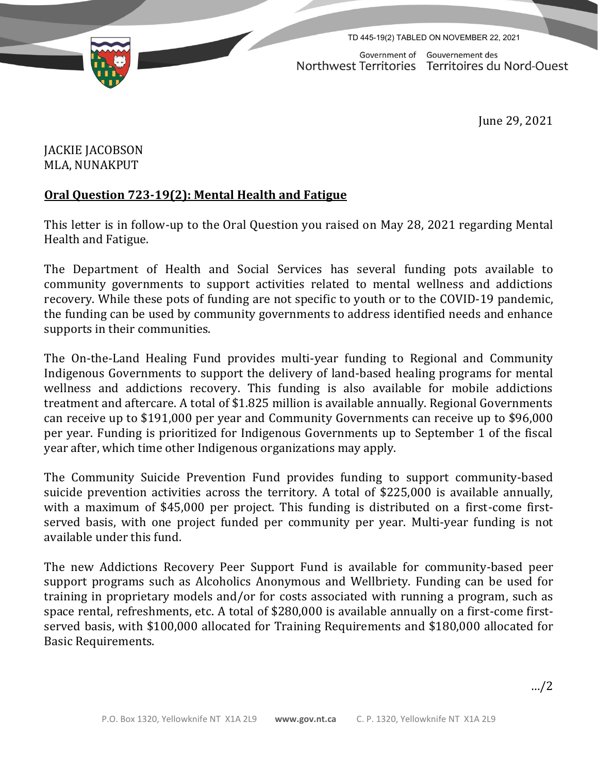

TD 445-19(2) TABLED ON NOVEMBER 22, 2021

Government of Gouvernement des Northwest Territories Territoires du Nord-Ouest

June 29, 2021

## JACKIE JACOBSON MLA, NUNAKPUT

## **Oral Question 723-19(2): Mental Health and Fatigue**

This letter is in follow-up to the Oral Question you raised on May 28, 2021 regarding Mental Health and Fatigue.

The Department of Health and Social Services has several funding pots available to community governments to support activities related to mental wellness and addictions recovery. While these pots of funding are not specific to youth or to the COVID-19 pandemic, the funding can be used by community governments to address identified needs and enhance supports in their communities.

The On-the-Land Healing Fund provides multi-year funding to Regional and Community Indigenous Governments to support the delivery of land-based healing programs for mental wellness and addictions recovery. This funding is also available for mobile addictions treatment and aftercare. A total of \$1.825 million is available annually. Regional Governments can receive up to \$191,000 per year and Community Governments can receive up to \$96,000 per year. Funding is prioritized for Indigenous Governments up to September 1 of the fiscal year after, which time other Indigenous organizations may apply.

The Community Suicide Prevention Fund provides funding to support community-based suicide prevention activities across the territory. A total of \$225,000 is available annually, with a maximum of \$45,000 per project. This funding is distributed on a first-come firstserved basis, with one project funded per community per year. Multi-year funding is not available under this fund.

The new Addictions Recovery Peer Support Fund is available for community-based peer support programs such as Alcoholics Anonymous and Wellbriety. Funding can be used for training in proprietary models and/or for costs associated with running a program, such as space rental, refreshments, etc. A total of \$280,000 is available annually on a first-come firstserved basis, with \$100,000 allocated for Training Requirements and \$180,000 allocated for Basic Requirements.

…/2